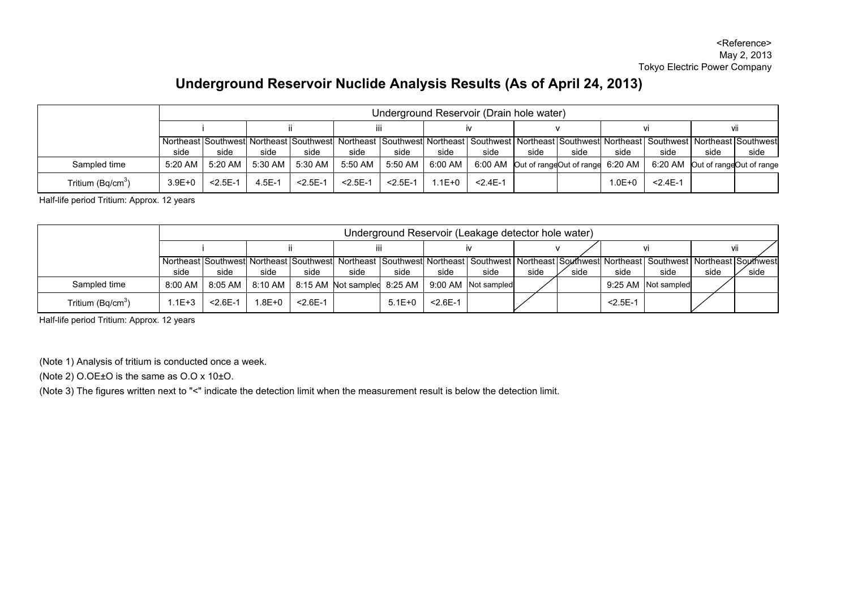## **Underground Reservoir Nuclide Analysis Results (As of April 24, 2013)**

|                               | Underground Reservoir (Drain hole water) |              |            |              |              |                                           |        |              |      |                                          |            |                                                                                                                                                                 |      |      |
|-------------------------------|------------------------------------------|--------------|------------|--------------|--------------|-------------------------------------------|--------|--------------|------|------------------------------------------|------------|-----------------------------------------------------------------------------------------------------------------------------------------------------------------|------|------|
|                               |                                          |              |            |              | iii          |                                           |        |              |      |                                          |            |                                                                                                                                                                 | VII  |      |
|                               |                                          |              |            |              |              |                                           |        |              |      |                                          |            | Northeast Southwest Northeast Southwest Northeast Southwest Northeast Southwest Northeast Southwest Northeast Southwest Northeast Southwest Northeast Southwest |      |      |
|                               | side                                     | side         | side       | side         | side         | side                                      | side   | side         | side | side                                     | side       | side                                                                                                                                                            | side | side |
| Sampled time                  | $5:20$ AM                                | $5:20$ AM    | 5:30 AM I  | $5:30$ AM    | 5:50 AM      | $5:50$ AM $\parallel$ 6:00 AM $\parallel$ |        |              |      | 6:00 AM Out of rangeOut of range 6:20 AM |            | 6:20 AM Out of rangeOut of range                                                                                                                                |      |      |
| Tritium (Bq/cm <sup>3</sup> ) | $3.9E + 0$                               | $< 2.5E - 1$ | $4.5E - 1$ | $< 2.5E - 1$ | $< 2.5E - 1$ | $< 2.5E - 1$                              | 1.1E+0 | $< 2.4E - 1$ |      |                                          | $1.0E + 0$ | $< 2.4E - 1$                                                                                                                                                    |      |      |

Half-life period Tritium: Approx. 12 years

|                               | Underground Reservoir (Leakage detector hole water) |              |            |              |      |          |              |                                                                                                                                                                                             |      |      |              |                     |      |      |
|-------------------------------|-----------------------------------------------------|--------------|------------|--------------|------|----------|--------------|---------------------------------------------------------------------------------------------------------------------------------------------------------------------------------------------|------|------|--------------|---------------------|------|------|
|                               |                                                     |              |            |              |      |          |              |                                                                                                                                                                                             |      |      |              |                     |      |      |
|                               | side                                                | side         | side       | side         | side | side     | side         | Northeast ISouthwestI Northeast ISouthwestI Northeast ISouthwestI Northeast I Southwest I Northeast ISouthwestI Northeast I Southwest I Northeast ISouthwest I Northeast ISouthwest<br>side | side | side | side         | side                | side | side |
| Sampled time                  | 8:00 AM                                             |              |            |              |      |          |              | 8:05 AM   8:10 AM   8:15 AM Not sampled 8:25 AM   9:00 AM   Not sampled                                                                                                                     |      |      |              | 9:25 AM Not sampled |      |      |
| Tritium (Bg/cm <sup>3</sup> ) | .1E+3                                               | $< 2.6E - 1$ | $1.8E + 0$ | $< 2.6E - 1$ |      | $5.1E+0$ | $< 2.6E - 1$ |                                                                                                                                                                                             |      |      | $< 2.5E - 1$ |                     |      |      |

Half-life period Tritium: Approx. 12 years

(Note 1) Analysis of tritium is conducted once a week.

(Note 2) O.OE±O is the same as O.O x 10±O.

(Note 3) The figures written next to "<" indicate the detection limit when the measurement result is below the detection limit.